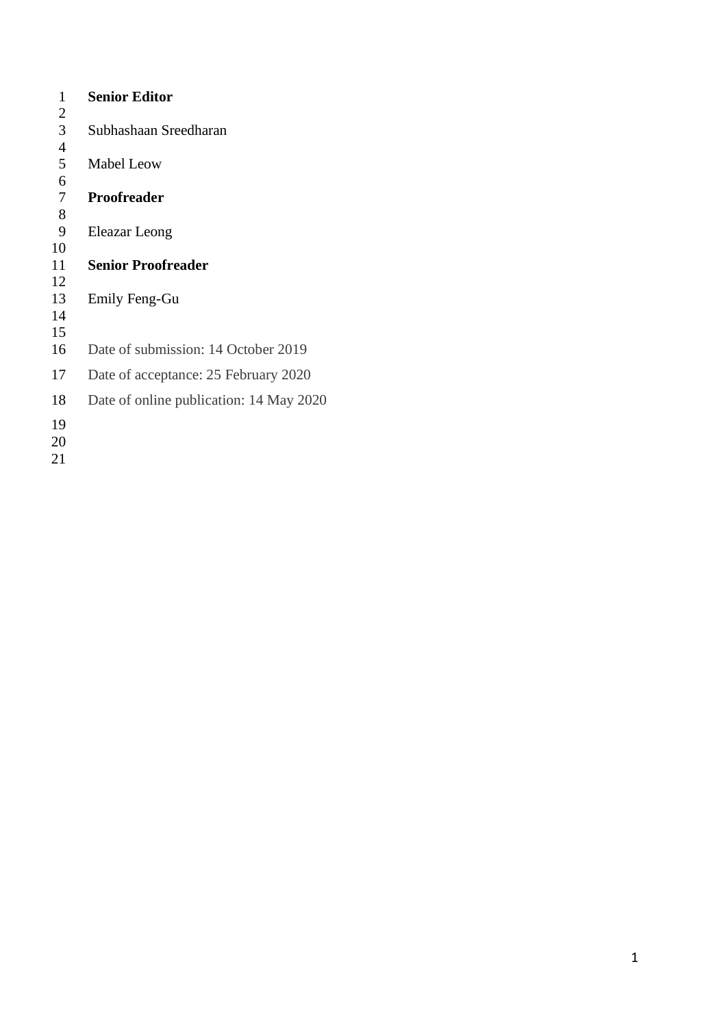| 1              | <b>Senior Editor</b>                    |
|----------------|-----------------------------------------|
| 2              |                                         |
| 3              | Subhashaan Sreedharan                   |
| $\overline{4}$ |                                         |
| 5              | Mabel Leow                              |
| 6              |                                         |
| 7              | Proofreader                             |
| 8              |                                         |
| 9              | Eleazar Leong                           |
| 10             |                                         |
| 11             | <b>Senior Proofreader</b>               |
| 12             |                                         |
| 13             | Emily Feng-Gu                           |
| 14             |                                         |
| 15             |                                         |
| 16             | Date of submission: 14 October 2019     |
| 17             | Date of acceptance: 25 February 2020    |
| 18             | Date of online publication: 14 May 2020 |
| 19             |                                         |
| 20             |                                         |
| 21             |                                         |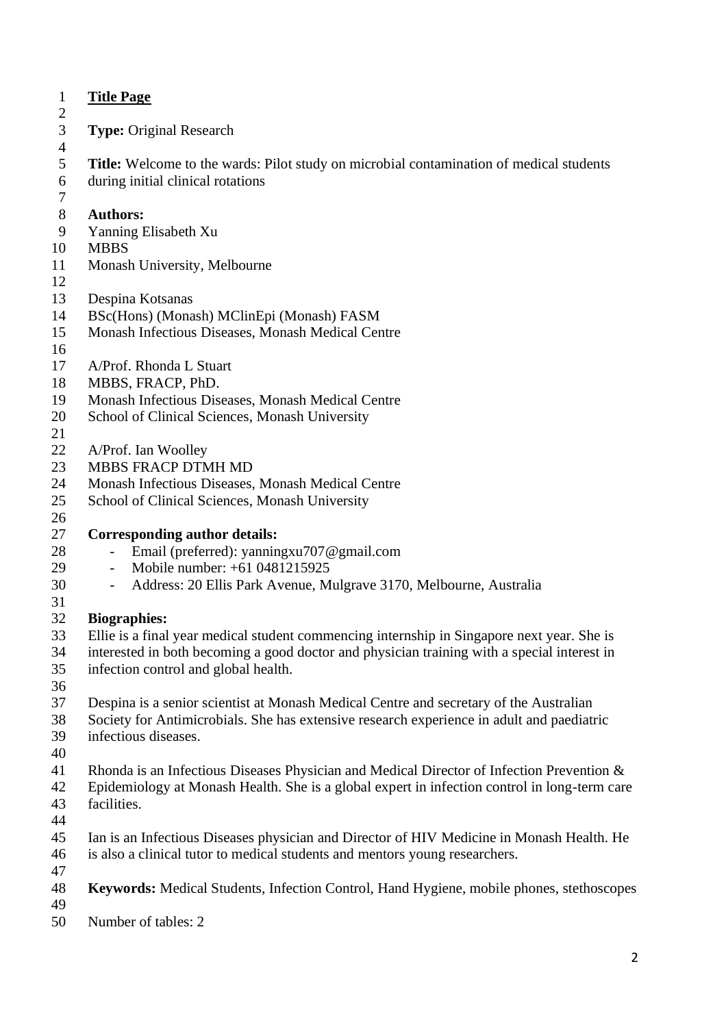| $\mathbf{1}$   | <b>Title Page</b>                                                                              |
|----------------|------------------------------------------------------------------------------------------------|
| $\overline{c}$ |                                                                                                |
| $\mathfrak{Z}$ | <b>Type: Original Research</b>                                                                 |
| $\overline{4}$ |                                                                                                |
| 5              | <b>Title:</b> Welcome to the wards: Pilot study on microbial contamination of medical students |
| 6              | during initial clinical rotations                                                              |
| 7              |                                                                                                |
| 8              | <b>Authors:</b>                                                                                |
| 9              | Yanning Elisabeth Xu                                                                           |
| 10             | <b>MBBS</b>                                                                                    |
| 11             | Monash University, Melbourne                                                                   |
| 12             |                                                                                                |
| 13             | Despina Kotsanas                                                                               |
| 14             | BSc(Hons) (Monash) MClinEpi (Monash) FASM                                                      |
| 15             | Monash Infectious Diseases, Monash Medical Centre                                              |
| 16             |                                                                                                |
| 17             | A/Prof. Rhonda L Stuart                                                                        |
| 18             | MBBS, FRACP, PhD.                                                                              |
| 19             | Monash Infectious Diseases, Monash Medical Centre                                              |
| 20             | School of Clinical Sciences, Monash University                                                 |
| 21             |                                                                                                |
| 22             | A/Prof. Ian Woolley                                                                            |
| 23             | MBBS FRACP DTMH MD                                                                             |
| 24             | Monash Infectious Diseases, Monash Medical Centre                                              |
| 25             | School of Clinical Sciences, Monash University                                                 |
| 26             |                                                                                                |
| 27             | <b>Corresponding author details:</b>                                                           |
| 28             | Email (preferred): yanningxu707@gmail.com                                                      |
| 29             | Mobile number: +61 0481215925<br>$\sim$                                                        |
| 30             | Address: 20 Ellis Park Avenue, Mulgrave 3170, Melbourne, Australia                             |
| 31             |                                                                                                |
| 32             | <b>Biographies:</b>                                                                            |
| 33             | Ellie is a final year medical student commencing internship in Singapore next year. She is     |
| 34             | interested in both becoming a good doctor and physician training with a special interest in    |
| 35             | infection control and global health.                                                           |
| 36             |                                                                                                |
| 37             | Despina is a senior scientist at Monash Medical Centre and secretary of the Australian         |
| 38             | Society for Antimicrobials. She has extensive research experience in adult and paediatric      |
| 39             | infectious diseases.                                                                           |
| 40             |                                                                                                |
| 41             | Rhonda is an Infectious Diseases Physician and Medical Director of Infection Prevention &      |
| 42             | Epidemiology at Monash Health. She is a global expert in infection control in long-term care   |
| 43             | facilities.                                                                                    |
| 44             |                                                                                                |
| 45             | Ian is an Infectious Diseases physician and Director of HIV Medicine in Monash Health. He      |
| 46             | is also a clinical tutor to medical students and mentors young researchers.                    |
| 47             |                                                                                                |
| 48<br>49       | Keywords: Medical Students, Infection Control, Hand Hygiene, mobile phones, stethoscopes       |
|                |                                                                                                |
| 50             | Number of tables: 2                                                                            |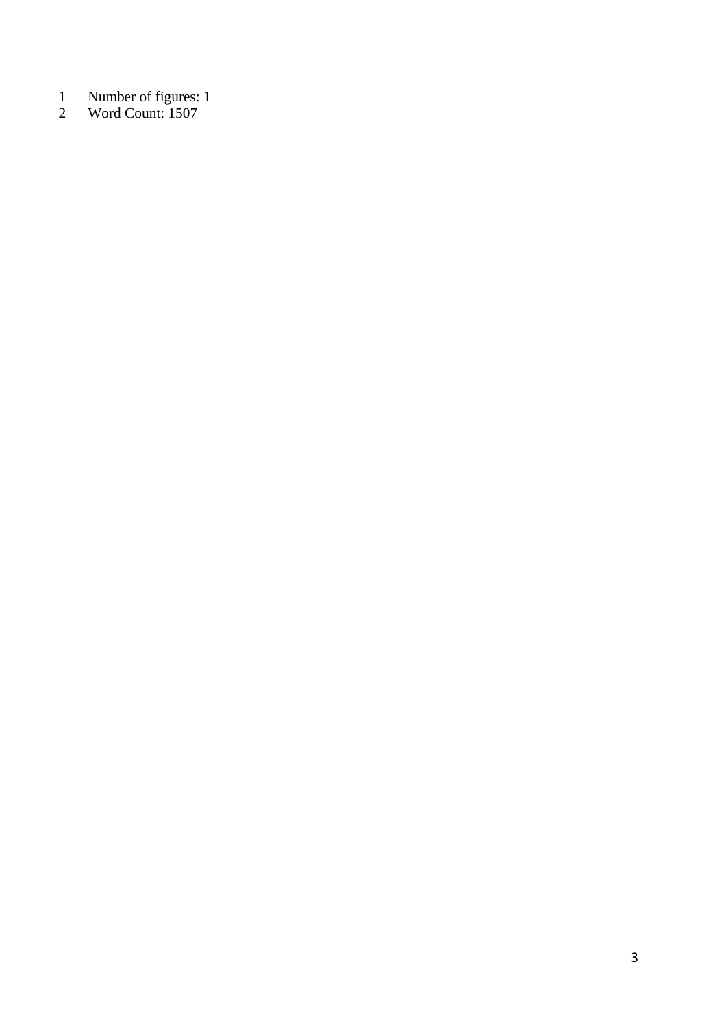- Number of figures: 1
- Word Count: 1507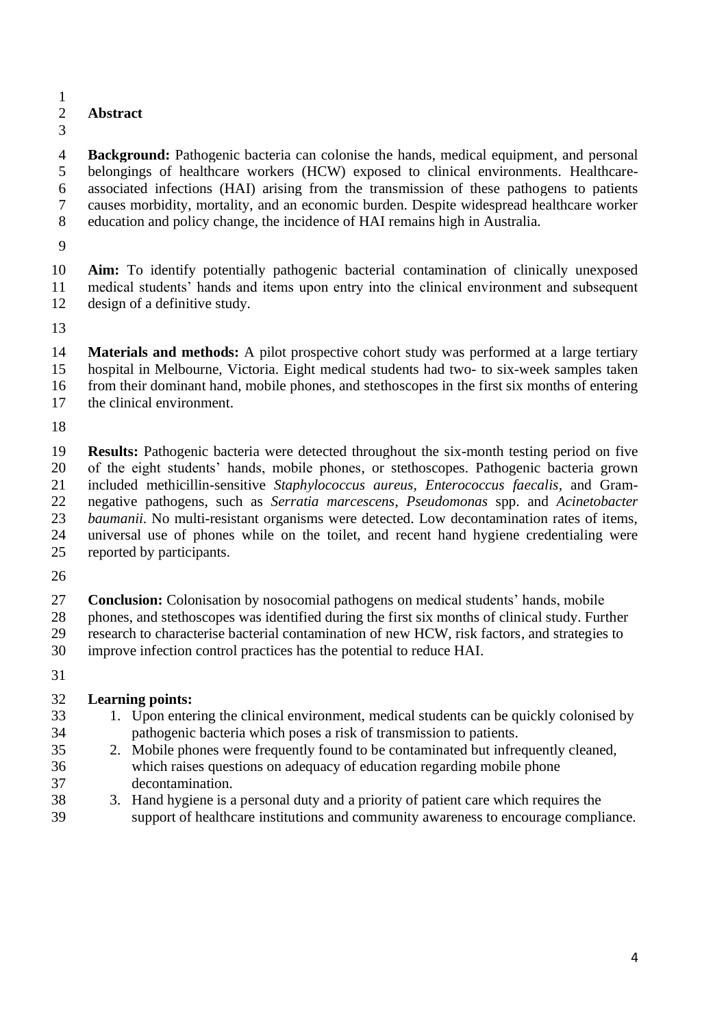#### 

### **Abstract**

 **Background:** Pathogenic bacteria can colonise the hands, medical equipment, and personal belongings of healthcare workers (HCW) exposed to clinical environments. Healthcare- associated infections (HAI) arising from the transmission of these pathogens to patients causes morbidity, mortality, and an economic burden. Despite widespread healthcare worker education and policy change, the incidence of HAI remains high in Australia.

 **Aim:** To identify potentially pathogenic bacterial contamination of clinically unexposed medical students' hands and items upon entry into the clinical environment and subsequent design of a definitive study.

 **Materials and methods:** A pilot prospective cohort study was performed at a large tertiary hospital in Melbourne, Victoria. Eight medical students had two- to six-week samples taken from their dominant hand, mobile phones, and stethoscopes in the first six months of entering the clinical environment.

 **Results:** Pathogenic bacteria were detected throughout the six-month testing period on five of the eight students' hands, mobile phones, or stethoscopes. Pathogenic bacteria grown included methicillin-sensitive *Staphylococcus aureus, Enterococcus faecalis,* and Gram- negative pathogens, such as *Serratia marcescens*, *Pseudomonas* spp. and *Acinetobacter baumanii*. No multi-resistant organisms were detected. Low decontamination rates of items, universal use of phones while on the toilet, and recent hand hygiene credentialing were reported by participants.

 **Conclusion:** Colonisation by nosocomial pathogens on medical students' hands, mobile phones, and stethoscopes was identified during the first six months of clinical study. Further research to characterise bacterial contamination of new HCW, risk factors, and strategies to improve infection control practices has the potential to reduce HAI.

# **Learning points:**

- 1. Upon entering the clinical environment, medical students can be quickly colonised by pathogenic bacteria which poses a risk of transmission to patients.
- 2. Mobile phones were frequently found to be contaminated but infrequently cleaned, which raises questions on adequacy of education regarding mobile phone decontamination.
- 3. Hand hygiene is a personal duty and a priority of patient care which requires the support of healthcare institutions and community awareness to encourage compliance.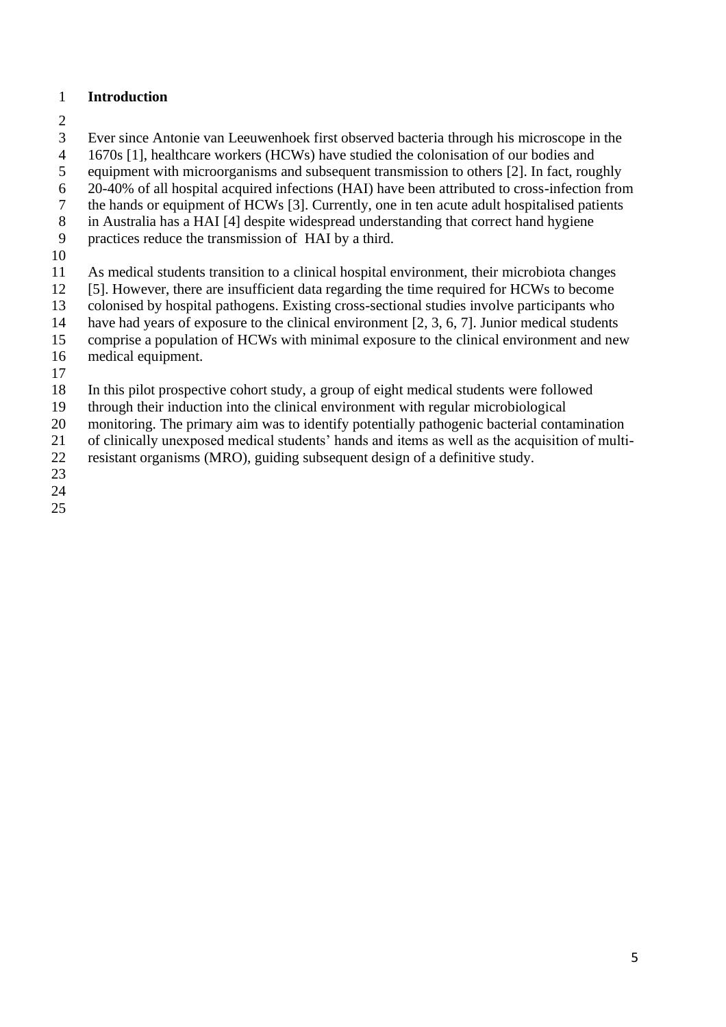#### **Introduction**

- 
- Ever since Antonie van Leeuwenhoek first observed bacteria through his microscope in the
- 1670s [1], healthcare workers (HCWs) have studied the colonisation of our bodies and
- equipment with microorganisms and subsequent transmission to others [2]. In fact, roughly
- 20-40% of all hospital acquired infections (HAI) have been attributed to cross-infection from
- the hands or equipment of HCWs [3]. Currently, one in ten acute adult hospitalised patients
- in Australia has a HAI [4] despite widespread understanding that correct hand hygiene
- practices reduce the transmission of HAI by a third.
- 
- As medical students transition to a clinical hospital environment, their microbiota changes
- [5]. However, there are insufficient data regarding the time required for HCWs to become
- colonised by hospital pathogens. Existing cross-sectional studies involve participants who
- have had years of exposure to the clinical environment [2, 3, 6, 7]. Junior medical students
- comprise a population of HCWs with minimal exposure to the clinical environment and new
- medical equipment.
- In this pilot prospective cohort study, a group of eight medical students were followed
- through their induction into the clinical environment with regular microbiological
- 20 monitoring. The primary aim was to identify potentially pathogenic bacterial contamination
- of clinically unexposed medical students' hands and items as well as the acquisition of multi-
- resistant organisms (MRO), guiding subsequent design of a definitive study.
- 
- 
-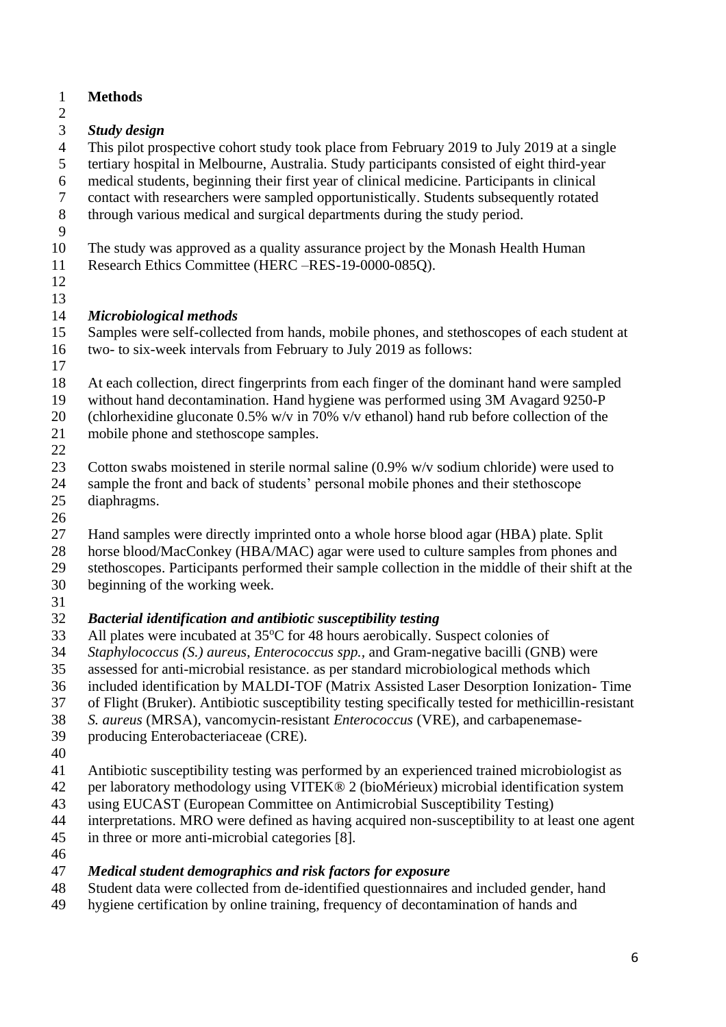- **Methods** *Study design* This pilot prospective cohort study took place from February 2019 to July 2019 at a single tertiary hospital in Melbourne, Australia. Study participants consisted of eight third-year medical students, beginning their first year of clinical medicine. Participants in clinical contact with researchers were sampled opportunistically. Students subsequently rotated through various medical and surgical departments during the study period. The study was approved as a quality assurance project by the Monash Health Human Research Ethics Committee (HERC –RES-19-0000-085Q). *Microbiological methods* Samples were self-collected from hands, mobile phones, and stethoscopes of each student at two- to six-week intervals from February to July 2019 as follows: At each collection, direct fingerprints from each finger of the dominant hand were sampled without hand decontamination. Hand hygiene was performed using 3M Avagard 9250-P 20 (chlorhexidine gluconate  $0.5\%$  w/v in 70% v/v ethanol) hand rub before collection of the mobile phone and stethoscope samples. 23 Cotton swabs moistened in sterile normal saline (0.9% w/v sodium chloride) were used to sample the front and back of students' personal mobile phones and their stethoscope diaphragms. Hand samples were directly imprinted onto a whole horse blood agar (HBA) plate. Split 28 horse blood/MacConkey (HBA/MAC) agar were used to culture samples from phones and<br>29 stethoscopes. Participants performed their sample collection in the middle of their shift at the stethoscopes. Participants performed their sample collection in the middle of their shift at the beginning of the working week. *Bacterial identification and antibiotic susceptibility testing* 33 All plates were incubated at  $35^{\circ}$ C for 48 hours aerobically. Suspect colonies of *Staphylococcus (S.) aureus*, *Enterococcus spp.,* and Gram-negative bacilli (GNB) were assessed for anti-microbial resistance. as per standard microbiological methods which
- included identification by MALDI-TOF (Matrix Assisted Laser Desorption Ionization- Time
- of Flight (Bruker). Antibiotic susceptibility testing specifically tested for methicillin-resistant
- *S. aureus* (MRSA), vancomycin-resistant *Enterococcus* (VRE), and carbapenemase-
- producing Enterobacteriaceae (CRE).
- 
- Antibiotic susceptibility testing was performed by an experienced trained microbiologist as
- per laboratory methodology using VITEK® 2 (bioMérieux) microbial identification system
- using EUCAST (European Committee on Antimicrobial Susceptibility Testing)
- interpretations. MRO were defined as having acquired non-susceptibility to at least one agent
- in three or more anti-microbial categories [8].
- 

# *Medical student demographics and risk factors for exposure*

- Student data were collected from de-identified questionnaires and included gender, hand
- hygiene certification by online training, frequency of decontamination of hands and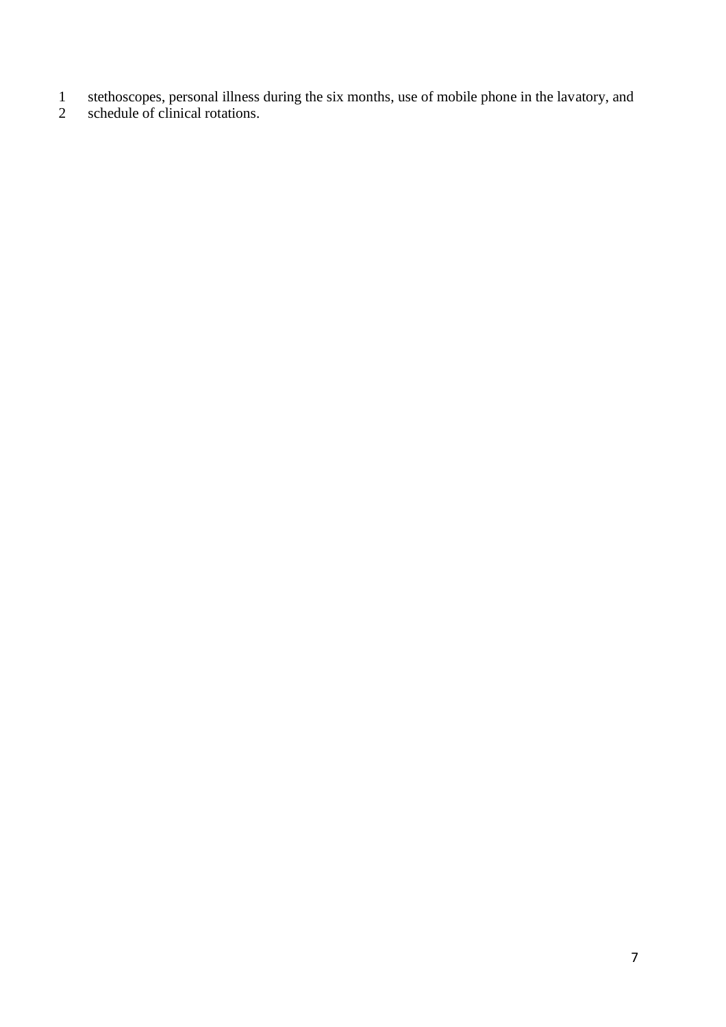- stethoscopes, personal illness during the six months, use of mobile phone in the lavatory, and
- schedule of clinical rotations.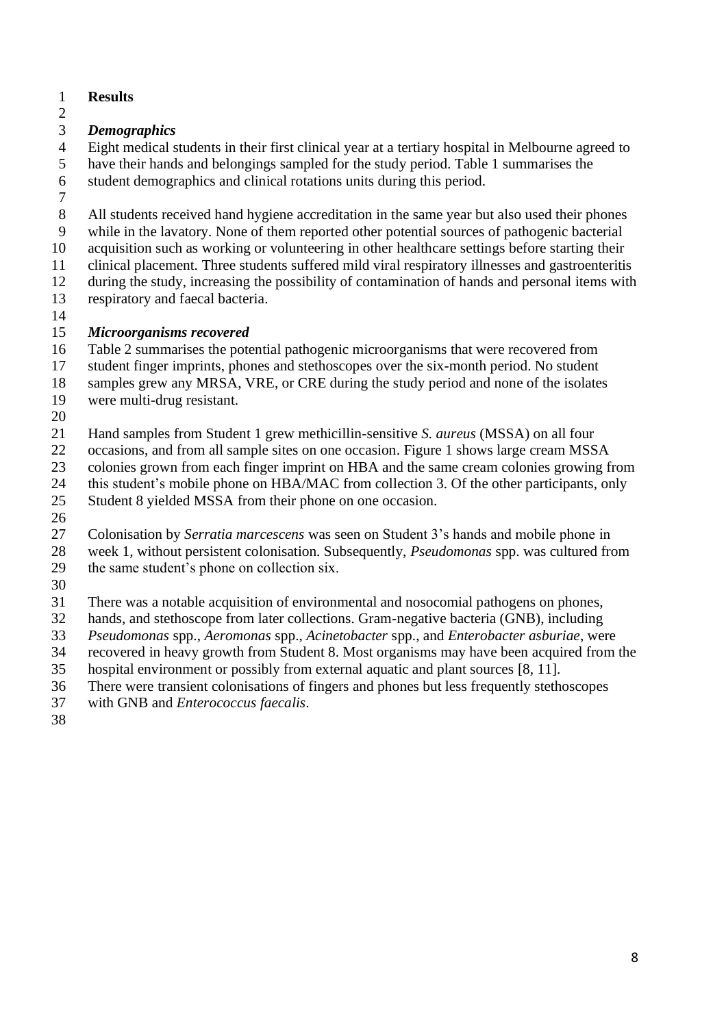- **Results**
- 

# *Demographics*

 Eight medical students in their first clinical year at a tertiary hospital in Melbourne agreed to have their hands and belongings sampled for the study period. Table 1 summarises the

student demographics and clinical rotations units during this period.

All students received hand hygiene accreditation in the same year but also used their phones

while in the lavatory. None of them reported other potential sources of pathogenic bacterial

acquisition such as working or volunteering in other healthcare settings before starting their

clinical placement. Three students suffered mild viral respiratory illnesses and gastroenteritis

 during the study, increasing the possibility of contamination of hands and personal items with respiratory and faecal bacteria.

### *Microorganisms recovered*

Table 2 summarises the potential pathogenic microorganisms that were recovered from

student finger imprints, phones and stethoscopes over the six-month period. No student

samples grew any MRSA, VRE, or CRE during the study period and none of the isolates

- were multi-drug resistant.
- 

Hand samples from Student 1 grew methicillin-sensitive *S. aureus* (MSSA) on all four

occasions, and from all sample sites on one occasion. Figure 1 shows large cream MSSA

colonies grown from each finger imprint on HBA and the same cream colonies growing from

24 this student's mobile phone on HBA/MAC from collection 3. Of the other participants, only

Student 8 yielded MSSA from their phone on one occasion.

Colonisation by *Serratia marcescens* was seen on Student 3's hands and mobile phone in

28 week 1, without persistent colonisation. Subsequently, *Pseudomonas* spp. was cultured from<br>29 the same student's phone on collection six. the same student's phone on collection six.

There was a notable acquisition of environmental and nosocomial pathogens on phones,

hands, and stethoscope from later collections. Gram-negative bacteria (GNB), including

*Pseudomonas* spp., *Aeromonas* spp., *Acinetobacter* spp., and *Enterobacter asburiae*, were

recovered in heavy growth from Student 8. Most organisms may have been acquired from the

hospital environment or possibly from external aquatic and plant sources [8, 11].

There were transient colonisations of fingers and phones but less frequently stethoscopes

with GNB and *Enterococcus faecalis*.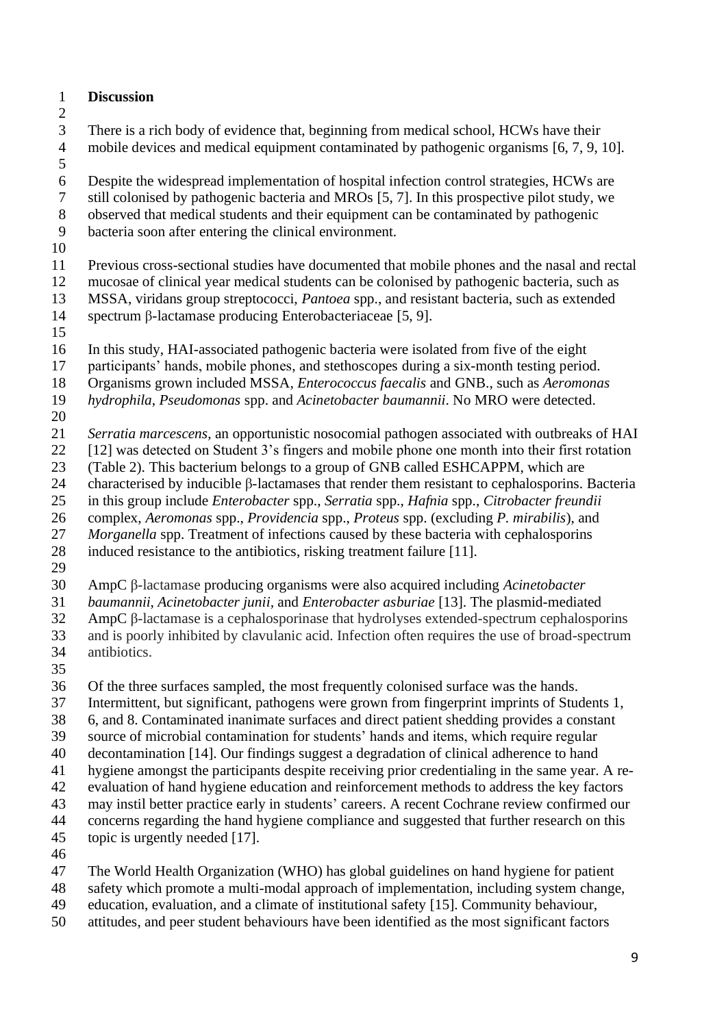- **Discussion**
- 

 There is a rich body of evidence that, beginning from medical school, HCWs have their mobile devices and medical equipment contaminated by pathogenic organisms [6, 7, 9, 10].

6 Despite the widespread implementation of hospital infection control strategies, HCWs are<br>
5 Times in this prospective pilot study, we still colonised by pathogenic bacteria and MROs [5, 7]. In this prospective pilot study, we

observed that medical students and their equipment can be contaminated by pathogenic

- bacteria soon after entering the clinical environment.
- 

Previous cross-sectional studies have documented that mobile phones and the nasal and rectal

- mucosae of clinical year medical students can be colonised by pathogenic bacteria, such as MSSA, viridans group streptococci, *Pantoea* spp., and resistant bacteria, such as extended
- spectrum β-lactamase producing Enterobacteriaceae [5, 9].
- 

In this study, HAI-associated pathogenic bacteria were isolated from five of the eight

- participants' hands, mobile phones, and stethoscopes during a six-month testing period.
- Organisms grown included MSSA*, Enterococcus faecalis* and GNB., such as *Aeromonas*

*hydrophila*, *Pseudomonas* spp. and *Acinetobacter baumannii*. No MRO were detected.

- 
- *Serratia marcescens*, an opportunistic nosocomial pathogen associated with outbreaks of HAI
- [12] was detected on Student 3's fingers and mobile phone one month into their first rotation
- (Table 2). This bacterium belongs to a group of GNB called ESHCAPPM, which are
- characterised by inducible β-lactamases that render them resistant to cephalosporins. Bacteria
- in this group include *Enterobacter* spp., *Serratia* spp., *Hafnia* spp., *Citrobacter freundii*
- complex, *Aeromonas* spp., *Providencia* spp., *Proteus* spp. (excluding *P. mirabilis*), and
- *Morganella* spp. Treatment of infections caused by these bacteria with cephalosporins
- induced resistance to the antibiotics, risking treatment failure [11].
- 

AmpC β-lactamase producing organisms were also acquired including *Acinetobacter* 

*baumannii*, *Acinetobacter junii,* and *Enterobacter asburiae* [13]. The plasmid-mediated

AmpC β-lactamase is a cephalosporinase that hydrolyses extended-spectrum cephalosporins

- and is poorly inhibited by clavulanic acid. Infection often requires the use of broad-spectrum antibiotics.
- 

Of the three surfaces sampled, the most frequently colonised surface was the hands.

- Intermittent, but significant, pathogens were grown from fingerprint imprints of Students 1,
- 6, and 8. Contaminated inanimate surfaces and direct patient shedding provides a constant
- source of microbial contamination for students' hands and items, which require regular
- decontamination [14]. Our findings suggest a degradation of clinical adherence to hand
- hygiene amongst the participants despite receiving prior credentialing in the same year. A re-
- evaluation of hand hygiene education and reinforcement methods to address the key factors
- may instil better practice early in students' careers. A recent Cochrane review confirmed our
- concerns regarding the hand hygiene compliance and suggested that further research on this
- topic is urgently needed [17].
- 
- The World Health Organization (WHO) has global guidelines on hand hygiene for patient
- safety which promote a multi-modal approach of implementation, including system change,
- education, evaluation, and a climate of institutional safety [15]. Community behaviour,
- attitudes, and peer student behaviours have been identified as the most significant factors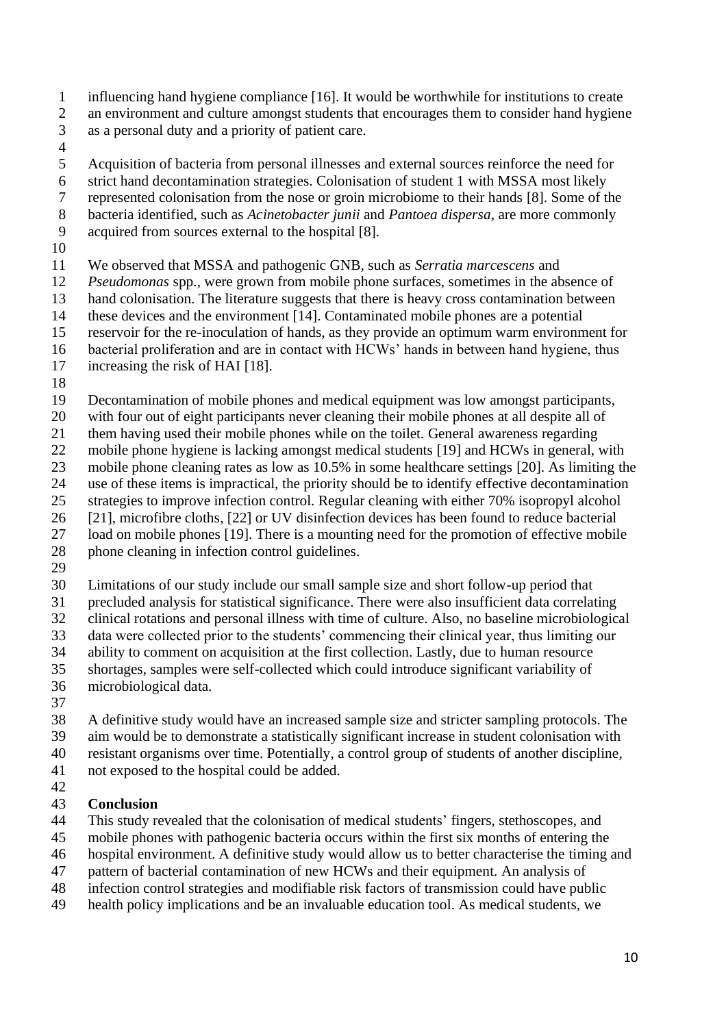- influencing hand hygiene compliance [16]. It would be worthwhile for institutions to create an environment and culture amongst students that encourages them to consider hand hygiene as a personal duty and a priority of patient care.
- 

Acquisition of bacteria from personal illnesses and external sources reinforce the need for

- strict hand decontamination strategies. Colonisation of student 1 with MSSA most likely
- represented colonisation from the nose or groin microbiome to their hands [8]. Some of the
- bacteria identified, such as *Acinetobacter junii* and *Pantoea dispersa*, are more commonly
- acquired from sources external to the hospital [8].
- 

We observed that MSSA and pathogenic GNB, such as *Serratia marcescens* and

- *Pseudomonas* spp., were grown from mobile phone surfaces, sometimes in the absence of
- hand colonisation. The literature suggests that there is heavy cross contamination between
- these devices and the environment [14]. Contaminated mobile phones are a potential
- reservoir for the re-inoculation of hands, as they provide an optimum warm environment for
- bacterial proliferation and are in contact with HCWs' hands in between hand hygiene, thus
- increasing the risk of HAI [18].
- 

Decontamination of mobile phones and medical equipment was low amongst participants,

- with four out of eight participants never cleaning their mobile phones at all despite all of
- them having used their mobile phones while on the toilet. General awareness regarding
- mobile phone hygiene is lacking amongst medical students [19] and HCWs in general, with
- mobile phone cleaning rates as low as 10.5% in some healthcare settings [20]. As limiting the
- use of these items is impractical, the priority should be to identify effective decontamination
- strategies to improve infection control. Regular cleaning with either 70% isopropyl alcohol
- [21], microfibre cloths, [22] or UV disinfection devices has been found to reduce bacterial load on mobile phones [19]. There is a mounting need for the promotion of effective mobile
- phone cleaning in infection control guidelines.
- 

Limitations of our study include our small sample size and short follow-up period that

precluded analysis for statistical significance. There were also insufficient data correlating

- clinical rotations and personal illness with time of culture. Also, no baseline microbiological
- data were collected prior to the students' commencing their clinical year, thus limiting our
- ability to comment on acquisition at the first collection. Lastly, due to human resource
- shortages, samples were self-collected which could introduce significant variability of
- microbiological data.
- 

 A definitive study would have an increased sample size and stricter sampling protocols. The aim would be to demonstrate a statistically significant increase in student colonisation with resistant organisms over time. Potentially, a control group of students of another discipline,

not exposed to the hospital could be added.

#### **Conclusion**

- This study revealed that the colonisation of medical students' fingers, stethoscopes, and
- mobile phones with pathogenic bacteria occurs within the first six months of entering the
- hospital environment. A definitive study would allow us to better characterise the timing and
- pattern of bacterial contamination of new HCWs and their equipment. An analysis of
- infection control strategies and modifiable risk factors of transmission could have public
- health policy implications and be an invaluable education tool. As medical students, we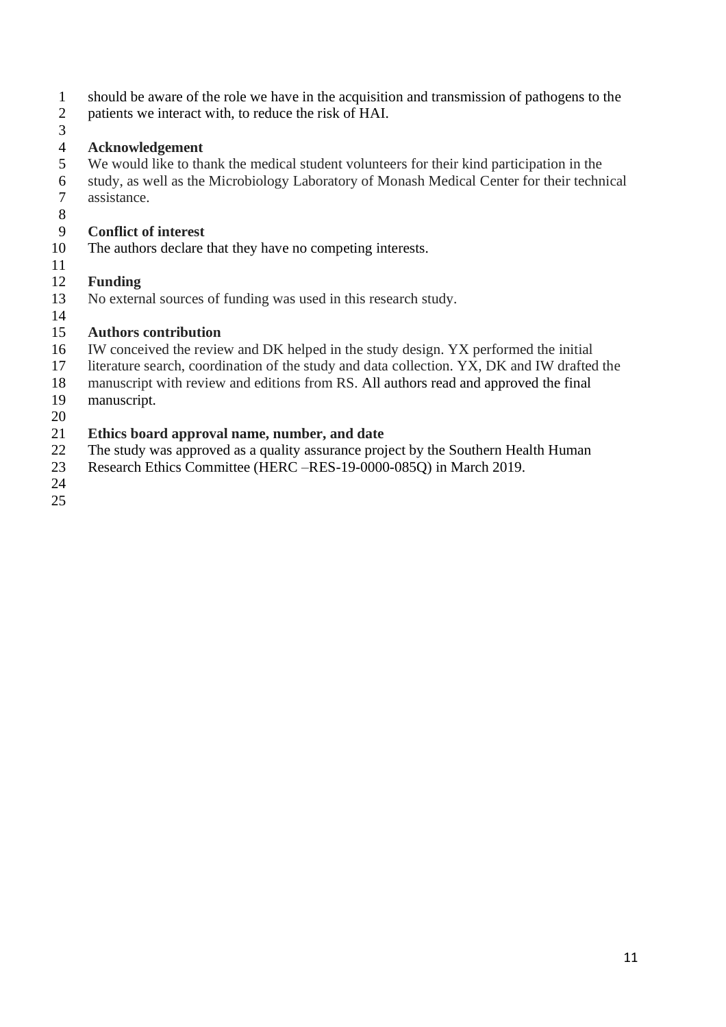- should be aware of the role we have in the acquisition and transmission of pathogens to the
- patients we interact with, to reduce the risk of HAI.
- 

### **Acknowledgement**

- We would like to thank the medical student volunteers for their kind participation in the
- study, as well as the Microbiology Laboratory of Monash Medical Center for their technical assistance.
- 

# **Conflict of interest**

- The authors declare that they have no competing interests.
- 

# **Funding**

No external sources of funding was used in this research study.

#### **Authors contribution**

- IW conceived the review and DK helped in the study design. YX performed the initial
- literature search, coordination of the study and data collection. YX, DK and IW drafted the
- manuscript with review and editions from RS. All authors read and approved the final
- manuscript.
- 

# **Ethics board approval name, number, and date**

- The study was approved as a quality assurance project by the Southern Health Human
- Research Ethics Committee (HERC –RES-19-0000-085Q) in March 2019.
-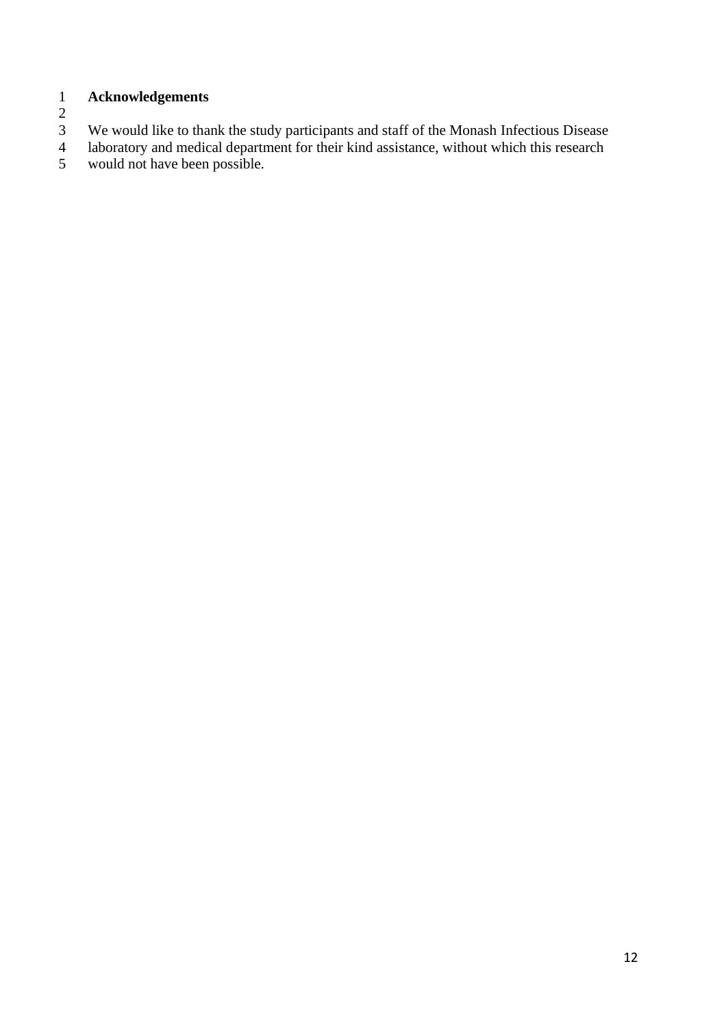## 1 **Acknowledgements**

 $\begin{array}{c} 1 \\ 2 \\ 3 \end{array}$ 

3 We would like to thank the study participants and staff of the Monash Infectious Disease<br>4 laboratory and medical department for their kind assistance, without which this research

4 laboratory and medical department for their kind assistance, without which this research would not have been possible. would not have been possible.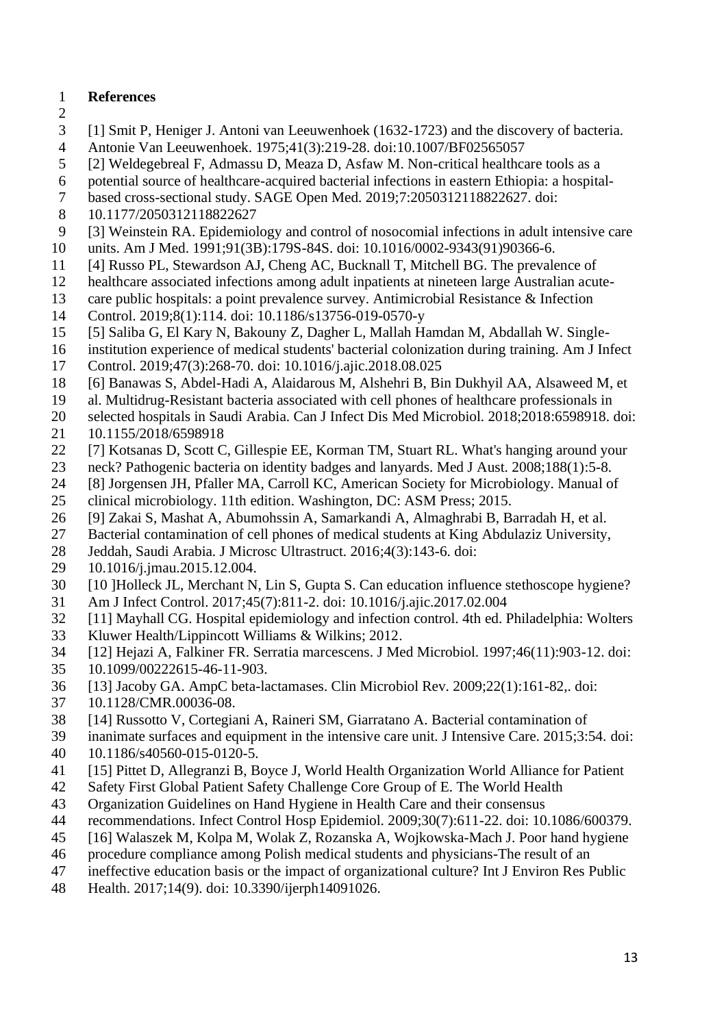### **References**

- 
- [1] Smit P, Heniger J. Antoni van Leeuwenhoek (1632-1723) and the discovery of bacteria.
- Antonie Van Leeuwenhoek. 1975;41(3):219-28. doi:10.1007/BF02565057
- [2] Weldegebreal F, Admassu D, Meaza D, Asfaw M. Non-critical healthcare tools as a
- potential source of healthcare-acquired bacterial infections in eastern Ethiopia: a hospital-
- based cross-sectional study. SAGE Open Med. 2019;7:2050312118822627. doi:
- 10.1177/2050312118822627
- [3] Weinstein RA. Epidemiology and control of nosocomial infections in adult intensive care units. Am J Med. 1991;91(3B):179S-84S. doi: 10.1016/0002-9343(91)90366-6.
- [4] Russo PL, Stewardson AJ, Cheng AC, Bucknall T, Mitchell BG. The prevalence of
- healthcare associated infections among adult inpatients at nineteen large Australian acute-
- care public hospitals: a point prevalence survey. Antimicrobial Resistance & Infection
- Control. 2019;8(1):114. doi: 10.1186/s13756-019-0570-y
- [5] Saliba G, El Kary N, Bakouny Z, Dagher L, Mallah Hamdan M, Abdallah W. Single-
- institution experience of medical students' bacterial colonization during training. Am J Infect
- Control. 2019;47(3):268-70. doi: 10.1016/j.ajic.2018.08.025
- [6] Banawas S, Abdel-Hadi A, Alaidarous M, Alshehri B, Bin Dukhyil AA, Alsaweed M, et
- al. Multidrug-Resistant bacteria associated with cell phones of healthcare professionals in
- selected hospitals in Saudi Arabia. Can J Infect Dis Med Microbiol. 2018;2018:6598918. doi:
- 10.1155/2018/6598918
- [7] Kotsanas D, Scott C, Gillespie EE, Korman TM, Stuart RL. What's hanging around your
- neck? Pathogenic bacteria on identity badges and lanyards. Med J Aust. 2008;188(1):5-8.
- [8] Jorgensen JH, Pfaller MA, Carroll KC, American Society for Microbiology. Manual of clinical microbiology. 11th edition. Washington, DC: ASM Press; 2015.
- [9] Zakai S, Mashat A, Abumohssin A, Samarkandi A, Almaghrabi B, Barradah H, et al.
- Bacterial contamination of cell phones of medical students at King Abdulaziz University,
- Jeddah, Saudi Arabia. J Microsc Ultrastruct. 2016;4(3):143-6. doi:
- 10.1016/j.jmau.2015.12.004.
- [10 ]Holleck JL, Merchant N, Lin S, Gupta S. Can education influence stethoscope hygiene?
- Am J Infect Control. 2017;45(7):811-2. doi: 10.1016/j.ajic.2017.02.004
- [11] Mayhall CG. Hospital epidemiology and infection control. 4th ed. Philadelphia: Wolters
- Kluwer Health/Lippincott Williams & Wilkins; 2012.
- [12] Hejazi A, Falkiner FR. Serratia marcescens. J Med Microbiol. 1997;46(11):903-12. doi:
- 10.1099/00222615-46-11-903.
- [13] Jacoby GA. AmpC beta-lactamases. Clin Microbiol Rev. 2009;22(1):161-82,. doi:
- 10.1128/CMR.00036-08.
- [14] Russotto V, Cortegiani A, Raineri SM, Giarratano A. Bacterial contamination of
- inanimate surfaces and equipment in the intensive care unit. J Intensive Care. 2015;3:54. doi:
- 10.1186/s40560-015-0120-5.
- [15] Pittet D, Allegranzi B, Boyce J, World Health Organization World Alliance for Patient
- Safety First Global Patient Safety Challenge Core Group of E. The World Health
- Organization Guidelines on Hand Hygiene in Health Care and their consensus
- recommendations. Infect Control Hosp Epidemiol. 2009;30(7):611-22. doi: 10.1086/600379.
- [16] Walaszek M, Kolpa M, Wolak Z, Rozanska A, Wojkowska-Mach J. Poor hand hygiene procedure compliance among Polish medical students and physicians-The result of an
- ineffective education basis or the impact of organizational culture? Int J Environ Res Public
- 
- Health. 2017;14(9). doi: 10.3390/ijerph14091026.